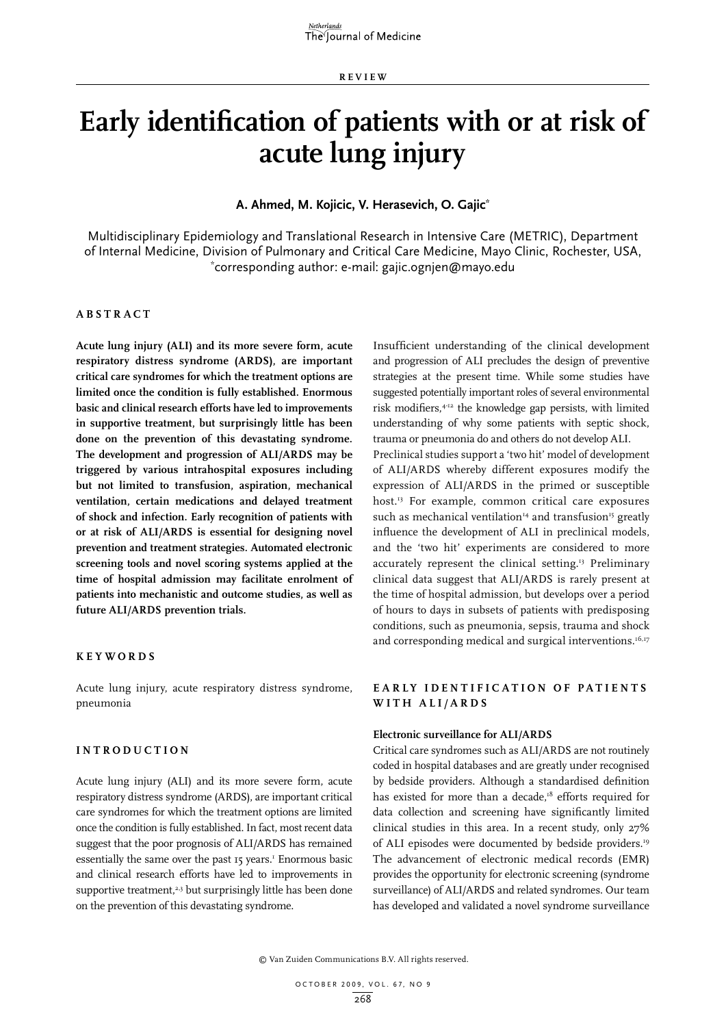**REVIEW**

# **Early identification of patients with or at risk of acute lung injury**

**A. Ahmed, M. Kojicic, V. Herasevich, O. Gajic\***

Multidisciplinary Epidemiology and Translational Research in Intensive Care (METRIC), Department of Internal Medicine, Division of Pulmonary and Critical Care Medicine, Mayo Clinic, Rochester, USA, \* corresponding author: e-mail: gajic.ognjen@mayo.edu

#### **A bstra c t**

**Acute lung injury (ALI) and its more severe form, acute respiratory distress syndrome (ARDS), are important critical care syndromes for which the treatment options are limited once the condition is fully established. Enormous basic and clinical research efforts have led to improvements in supportive treatment, but surprisingly little has been done on the prevention of this devastating syndrome. The development and progression of ALI/ARDS may be triggered by various intrahospital exposures including but not limited to transfusion, aspiration, mechanical ventilation, certain medications and delayed treatment of shock and infection. Early recognition of patients with or at risk of ALI/ARDS is essential for designing novel prevention and treatment strategies. Automated electronic screening tools and novel scoring systems applied at the time of hospital admission may facilitate enrolment of patients into mechanistic and outcome studies, as well as future ALI/ARDS prevention trials.** 

#### **KEYWORDS**

Acute lung injury, acute respiratory distress syndrome, pneumonia

#### **I ntrodu c tion**

Acute lung injury (ALI) and its more severe form, acute respiratory distress syndrome (ARDS), are important critical care syndromes for which the treatment options are limited once the condition is fully established. In fact, most recent data suggest that the poor prognosis of ALI/ARDS has remained essentially the same over the past 15 years.<sup>1</sup> Enormous basic and clinical research efforts have led to improvements in supportive treatment.<sup>2,3</sup> but surprisingly little has been done on the prevention of this devastating syndrome.

Insufficient understanding of the clinical development and progression of ALI precludes the design of preventive strategies at the present time. While some studies have suggested potentially important roles of several environmental risk modifiers,4-12 the knowledge gap persists, with limited understanding of why some patients with septic shock, trauma or pneumonia do and others do not develop ALI.

Preclinical studies support a 'two hit' model of development of ALI/ARDS whereby different exposures modify the expression of ALI/ARDS in the primed or susceptible host.13 For example, common critical care exposures such as mechanical ventilation<sup>14</sup> and transfusion<sup>15</sup> greatly influence the development of ALI in preclinical models, and the 'two hit' experiments are considered to more accurately represent the clinical setting.<sup>13</sup> Preliminary clinical data suggest that ALI/ARDS is rarely present at the time of hospital admission, but develops over a period of hours to days in subsets of patients with predisposing conditions, such as pneumonia, sepsis, trauma and shock and corresponding medical and surgical interventions.<sup>16,17</sup>

### **EARLY IDENTIFICATION OF PATIENTS with ALI /ARDS**

#### **Electronic surveillance for ALI/ARDS**

Critical care syndromes such as ALI/ARDS are not routinely coded in hospital databases and are greatly under recognised by bedside providers. Although a standardised definition has existed for more than a decade,<sup>18</sup> efforts required for data collection and screening have significantly limited clinical studies in this area. In a recent study, only 27% of ALI episodes were documented by bedside providers.19 The advancement of electronic medical records (EMR) provides the opportunity for electronic screening (syndrome surveillance) of ALI/ARDS and related syndromes. Our team has developed and validated a novel syndrome surveillance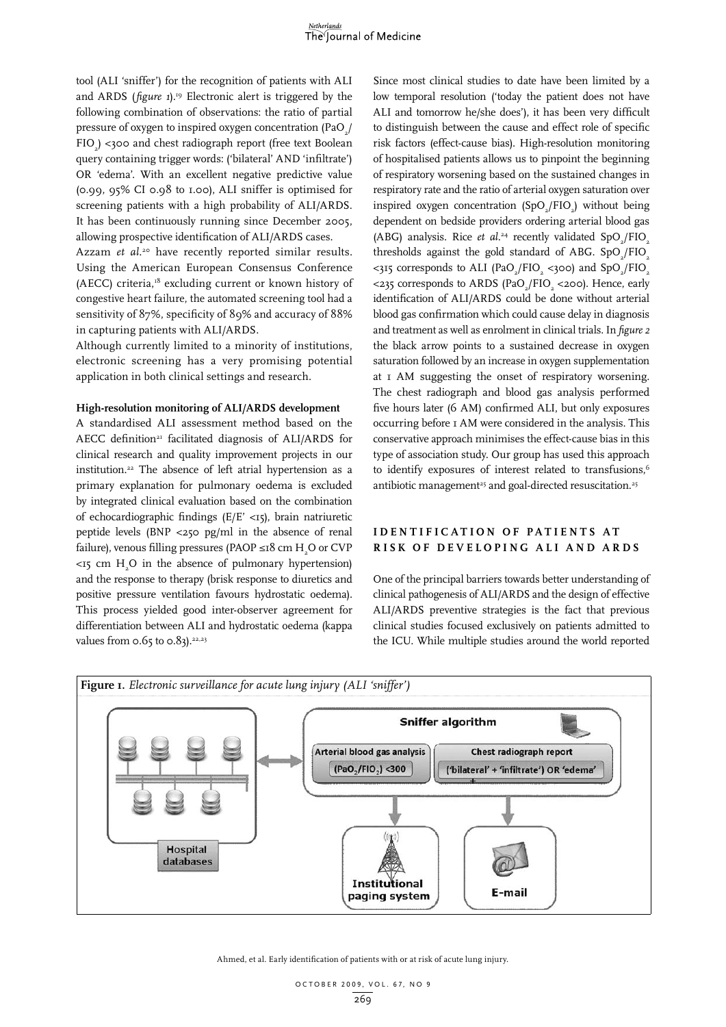tool (ALI 'sniffer') for the recognition of patients with ALI and ARDS (*figure 1*).<sup>19</sup> Electronic alert is triggered by the following combination of observations: the ratio of partial pressure of oxygen to inspired oxygen concentration (PaO $_{\rm 2}$ / FIO2 ) <300 and chest radiograph report (free text Boolean query containing trigger words: ('bilateral' AND 'infiltrate') OR 'edema'. With an excellent negative predictive value (0.99, 95% CI 0.98 to 1.00), ALI sniffer is optimised for screening patients with a high probability of ALI/ARDS. It has been continuously running since December 2005, allowing prospective identification of ALI/ARDS cases. Azzam *et al.*<sup>20</sup> have recently reported similar results.

Using the American European Consensus Conference (AECC) criteria, $18$ <sup>8</sup> excluding current or known history of congestive heart failure, the automated screening tool had a sensitivity of 87%, specificity of 89% and accuracy of 88% in capturing patients with ALI/ARDS.

Although currently limited to a minority of institutions, electronic screening has a very promising potential application in both clinical settings and research.

#### **High-resolution monitoring of ALI/ARDS development**

A standardised ALI assessment method based on the AECC definition<sup>21</sup> facilitated diagnosis of ALI/ARDS for clinical research and quality improvement projects in our institution.22 The absence of left atrial hypertension as a primary explanation for pulmonary oedema is excluded by integrated clinical evaluation based on the combination of echocardiographic findings (E/E' <15), brain natriuretic peptide levels (BNP <250 pg/ml in the absence of renal failure), venous filling pressures (PAOP ≤18 cm  $\rm H_{2}O$  or CVP  $\langle 15 \rangle$  cm  $H_2O$  in the absence of pulmonary hypertension) and the response to therapy (brisk response to diuretics and positive pressure ventilation favours hydrostatic oedema). This process yielded good inter-observer agreement for differentiation between ALI and hydrostatic oedema (kappa values from  $0.65$  to  $0.83$ ).<sup>22,23</sup>

Since most clinical studies to date have been limited by a low temporal resolution ('today the patient does not have ALI and tomorrow he/she does'), it has been very difficult to distinguish between the cause and effect role of specific risk factors (effect-cause bias). High-resolution monitoring of hospitalised patients allows us to pinpoint the beginning of respiratory worsening based on the sustained changes in respiratory rate and the ratio of arterial oxygen saturation over inspired oxygen concentration (SpO<sub>2</sub>/FIO<sub>2</sub>) without being dependent on bedside providers ordering arterial blood gas (ABG) analysis. Rice *et al.*<sup>24</sup> recently validated  $SpO_2/FIO_2$ thresholds against the gold standard of ABG.  $SpO_2/FIO_2$ <315 corresponds to ALI (PaO<sub>2</sub>/FIO<sub>2</sub> <300) and SpO<sub>2</sub>/FIO<sub>2</sub> <235 corresponds to ARDS (PaO<sub>2</sub>/FIO<sub>2</sub> <200). Hence, early identification of ALI/ARDS could be done without arterial blood gas confirmation which could cause delay in diagnosis and treatment as well as enrolment in clinical trials. In *figure 2* the black arrow points to a sustained decrease in oxygen saturation followed by an increase in oxygen supplementation at 1 AM suggesting the onset of respiratory worsening. The chest radiograph and blood gas analysis performed five hours later (6 AM) confirmed ALI, but only exposures occurring before 1 AM were considered in the analysis. This conservative approach minimises the effect-cause bias in this type of association study. Our group has used this approach to identify exposures of interest related to transfusions,<sup>6</sup> antibiotic management<sup>25</sup> and goal-directed resuscitation.<sup>25</sup>

## **IDENTIFICATION OF PATIENTS AT ris k of developing ALI and ARDS**

One of the principal barriers towards better understanding of clinical pathogenesis of ALI/ARDS and the design of effective ALI/ARDS preventive strategies is the fact that previous clinical studies focused exclusively on patients admitted to the ICU. While multiple studies around the world reported



Ahmed, et al. Early identification of patients with or at risk of acute lung injury.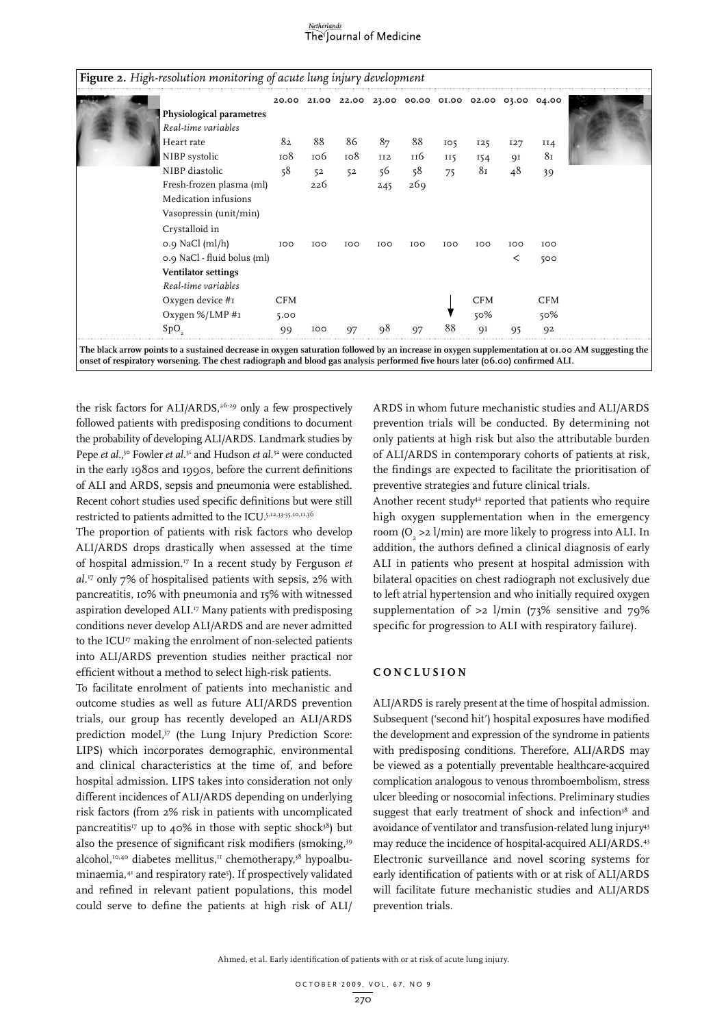# The Journal of Medicine

|                             |            |            |            |                 | 20.00 2I.00 22.00 23.00 00.00 0I.00 02.00 03.00 04.00 |                 |            |            |                |  |
|-----------------------------|------------|------------|------------|-----------------|-------------------------------------------------------|-----------------|------------|------------|----------------|--|
| Physiological parametres    |            |            |            |                 |                                                       |                 |            |            |                |  |
| Real-time variables         |            |            |            |                 |                                                       |                 |            |            |                |  |
| Heart rate                  | 82         | 88         | 86         | 87              | 88                                                    | IO <sub>5</sub> | 125        | 127        | II4            |  |
| NIBP systolic               | 108        | 106        | 108        | II <sub>2</sub> | 116                                                   | <b>II5</b>      | 154        | QI         | 81             |  |
| NIBP diastolic              | 58         | 52         | 52         | 56              | 58                                                    | 75              | 81         | 48         | 39             |  |
| Fresh-frozen plasma (ml)    |            | 226        |            | 245             | 269                                                   |                 |            |            |                |  |
| Medication infusions        |            |            |            |                 |                                                       |                 |            |            |                |  |
| Vasopressin (unit/min)      |            |            |            |                 |                                                       |                 |            |            |                |  |
| Crystalloid in              |            |            |            |                 |                                                       |                 |            |            |                |  |
| $o.g$ NaCl (ml/h)           | <b>IOO</b> | <b>IOO</b> | <b>IOO</b> | <b>IOO</b>      | <b>IOO</b>                                            | <b>IOO</b>      | <b>IOO</b> | <b>IOO</b> | <b>IOO</b>     |  |
| 0.9 NaCl - fluid bolus (ml) |            |            |            |                 |                                                       |                 |            | ≺          | 500            |  |
| Ventilator settings         |            |            |            |                 |                                                       |                 |            |            |                |  |
| Real-time variables         |            |            |            |                 |                                                       |                 |            |            |                |  |
| Oxygen device #1            | CFM        |            |            |                 |                                                       |                 | <b>CFM</b> |            | CFM            |  |
| Oxygen $\%/LMP #I$          | 5.00       |            |            |                 |                                                       |                 | 50%        |            | $50\%$         |  |
| SpO                         | 99         | <b>IOO</b> | 97         | 98              | 97                                                    | 88              | ΟI         | 95         | Q <sub>2</sub> |  |

**The black arrow points to a sustained decrease in oxygen saturation followed by an increase in oxygen supplementation at 01.00 AM suggesting the onset of respiratory worsening. The chest radiograph and blood gas analysis performed five hours later (06.00) confirmed ALI.**

the risk factors for ALI/ARDS,<sup>26-29</sup> only a few prospectively followed patients with predisposing conditions to document the probability of developing ALI/ARDS. Landmark studies by Pepe *et al.*,<sup>30</sup> Fowler *et al.*<sup>31</sup> and Hudson *et al.*<sup>32</sup> were conducted in the early 1980s and 1990s, before the current definitions of ALI and ARDS, sepsis and pneumonia were established. Recent cohort studies used specific definitions but were still restricted to patients admitted to the ICU.5,12,33-35,10,11,36

The proportion of patients with risk factors who develop ALI/ARDS drops drastically when assessed at the time of hospital admission.17 In a recent study by Ferguson *et al.*17 only 7% of hospitalised patients with sepsis, 2% with pancreatitis, 10% with pneumonia and 15% with witnessed aspiration developed ALI.17 Many patients with predisposing conditions never develop ALI/ARDS and are never admitted to the ICU<sup>17</sup> making the enrolment of non-selected patients into ALI/ARDS prevention studies neither practical nor efficient without a method to select high-risk patients.

To facilitate enrolment of patients into mechanistic and outcome studies as well as future ALI/ARDS prevention trials, our group has recently developed an ALI/ARDS prediction model,<sup>37</sup> (the Lung Injury Prediction Score: LIPS) which incorporates demographic, environmental and clinical characteristics at the time of, and before hospital admission. LIPS takes into consideration not only different incidences of ALI/ARDS depending on underlying risk factors (from 2% risk in patients with uncomplicated pancreatitis<sup>17</sup> up to 40% in those with septic shock<sup>38</sup>) but also the presence of significant risk modifiers (smoking,39 alcohol,<sup>10,40</sup> diabetes mellitus,<sup>11</sup> chemotherapy,<sup>38</sup> hypoalbuminaemia,41 and respiratory rate5 ). If prospectively validated and refined in relevant patient populations, this model could serve to define the patients at high risk of ALI/

ARDS in whom future mechanistic studies and ALI/ARDS prevention trials will be conducted. By determining not only patients at high risk but also the attributable burden of ALI/ARDS in contemporary cohorts of patients at risk, the findings are expected to facilitate the prioritisation of preventive strategies and future clinical trials.

Another recent study<sup>42</sup> reported that patients who require high oxygen supplementation when in the emergency room ( $O_2 > 2$  l/min) are more likely to progress into ALI. In addition, the authors defined a clinical diagnosis of early ALI in patients who present at hospital admission with bilateral opacities on chest radiograph not exclusively due to left atrial hypertension and who initially required oxygen supplementation of  $>2$  l/min (73% sensitive and 79% specific for progression to ALI with respiratory failure).

#### **Con c lusion**

ALI/ARDS is rarely present at the time of hospital admission. Subsequent ('second hit') hospital exposures have modified the development and expression of the syndrome in patients with predisposing conditions. Therefore, ALI/ARDS may be viewed as a potentially preventable healthcare-acquired complication analogous to venous thromboembolism, stress ulcer bleeding or nosocomial infections. Preliminary studies suggest that early treatment of shock and infection<sup>38</sup> and avoidance of ventilator and transfusion-related lung injury43 may reduce the incidence of hospital-acquired ALI/ARDS.43 Electronic surveillance and novel scoring systems for early identification of patients with or at risk of ALI/ARDS will facilitate future mechanistic studies and ALI/ARDS prevention trials.

Ahmed, et al. Early identification of patients with or at risk of acute lung injury.